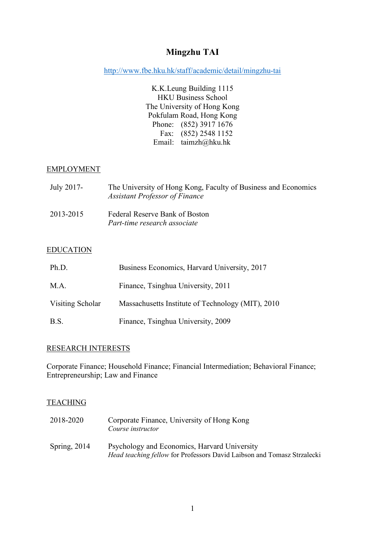# **Mingzhu TAI**

http://www.fbe.hku.hk/staff/academic/detail/mingzhu-tai

K.K.Leung Building 1115 HKU Business School The University of Hong Kong Pokfulam Road, Hong Kong Phone: (852) 3917 1676 Fax: (852) 2548 1152 Email: taimzh@hku.hk

# EMPLOYMENT

| July 2017- | The University of Hong Kong, Faculty of Business and Economics<br><b>Assistant Professor of Finance</b> |
|------------|---------------------------------------------------------------------------------------------------------|
| 2013-2015  | Federal Reserve Bank of Boston<br>Part-time research associate                                          |

### EDUCATION

| Ph.D.            | Business Economics, Harvard University, 2017      |
|------------------|---------------------------------------------------|
| M A              | Finance, Tsinghua University, 2011                |
| Visiting Scholar | Massachusetts Institute of Technology (MIT), 2010 |
| B.S.             | Finance, Tsinghua University, 2009                |

# RESEARCH INTERESTS

Corporate Finance; Household Finance; Financial Intermediation; Behavioral Finance; Entrepreneurship; Law and Finance

### **TEACHING**

| 2018-2020      | Corporate Finance, University of Hong Kong<br>Course instructor                                                                |
|----------------|--------------------------------------------------------------------------------------------------------------------------------|
| Spring, $2014$ | Psychology and Economics, Harvard University<br><i>Head teaching fellow</i> for Professors David Laibson and Tomasz Strzalecki |